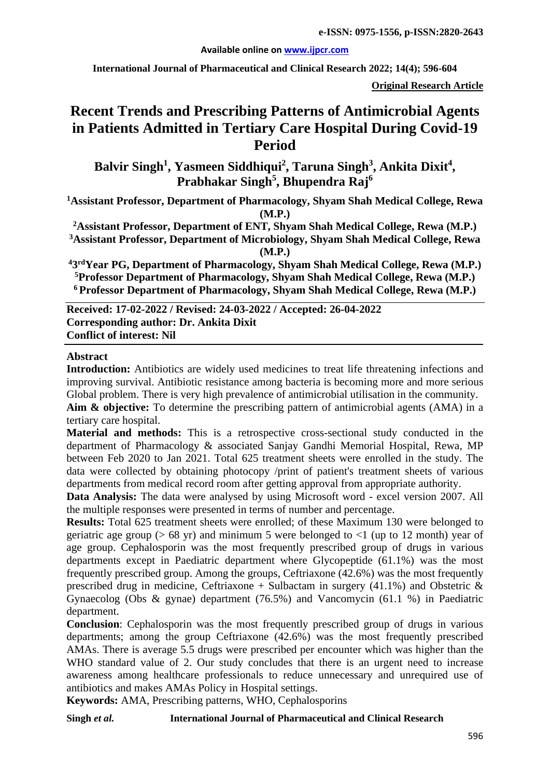#### **Available online on [www.ijpcr.com](http://www.ijpcr.com/)**

**International Journal of Pharmaceutical and Clinical Research 2022; 14(4); 596-604**

**Original Research Article**

# **Recent Trends and Prescribing Patterns of Antimicrobial Agents in Patients Admitted in Tertiary Care Hospital During Covid-19 Period**

Balvir Singh<sup>1</sup>, Yasmeen Siddhiqui<sup>2</sup>, Taruna Singh<sup>3</sup>, Ankita Dixit<sup>4</sup>, **Prabhakar Singh<sup>5</sup> , Bhupendra Raj<sup>6</sup>**

**1Assistant Professor, Department of Pharmacology, Shyam Shah Medical College, Rewa (M.P.)**

**2Assistant Professor, Department of ENT, Shyam Shah Medical College, Rewa (M.P.)**

**3 Assistant Professor, Department of Microbiology, Shyam Shah Medical College, Rewa (M.P.)**

**43rdYear PG, Department of Pharmacology, Shyam Shah Medical College, Rewa (M.P.) 5Professor Department of Pharmacology, Shyam Shah Medical College, Rewa (M.P.) 6 Professor Department of Pharmacology, Shyam Shah Medical College, Rewa (M.P.)**

**Received: 17-02-2022 / Revised: 24-03-2022 / Accepted: 26-04-2022 Corresponding author: Dr. Ankita Dixit Conflict of interest: Nil**

#### **Abstract**

**Introduction:** Antibiotics are widely used medicines to treat life threatening infections and improving survival. Antibiotic resistance among bacteria is becoming more and more serious Global problem. There is very high prevalence of antimicrobial utilisation in the community.

**Aim & objective:** To determine the prescribing pattern of antimicrobial agents (AMA) in a tertiary care hospital.

**Material and methods:** This is a retrospective cross-sectional study conducted in the department of Pharmacology & associated Sanjay Gandhi Memorial Hospital, Rewa, MP between Feb 2020 to Jan 2021. Total 625 treatment sheets were enrolled in the study. The data were collected by obtaining photocopy /print of patient's treatment sheets of various departments from medical record room after getting approval from appropriate authority.

**Data Analysis:** The data were analysed by using Microsoft word - excel version 2007. All the multiple responses were presented in terms of number and percentage.

**Results:** Total 625 treatment sheets were enrolled; of these Maximum 130 were belonged to geriatric age group ( $> 68$  yr) and minimum 5 were belonged to  $< 1$  (up to 12 month) year of age group. Cephalosporin was the most frequently prescribed group of drugs in various departments except in Paediatric department where Glycopeptide (61.1%) was the most frequently prescribed group. Among the groups, Ceftriaxone (42.6%) was the most frequently prescribed drug in medicine, Ceftriaxone + Sulbactam in surgery (41.1%) and Obstetric  $\&$ Gynaecolog (Obs & gynae) department (76.5%) and Vancomycin (61.1 %) in Paediatric department.

**Conclusion**: Cephalosporin was the most frequently prescribed group of drugs in various departments; among the group Ceftriaxone (42.6%) was the most frequently prescribed AMAs. There is average 5.5 drugs were prescribed per encounter which was higher than the WHO standard value of 2. Our study concludes that there is an urgent need to increase awareness among healthcare professionals to reduce unnecessary and unrequired use of antibiotics and makes AMAs Policy in Hospital settings.

**Keywords:** AMA, Prescribing patterns, WHO, Cephalosporins

**Singh** *et al.* **International Journal of Pharmaceutical and Clinical Research**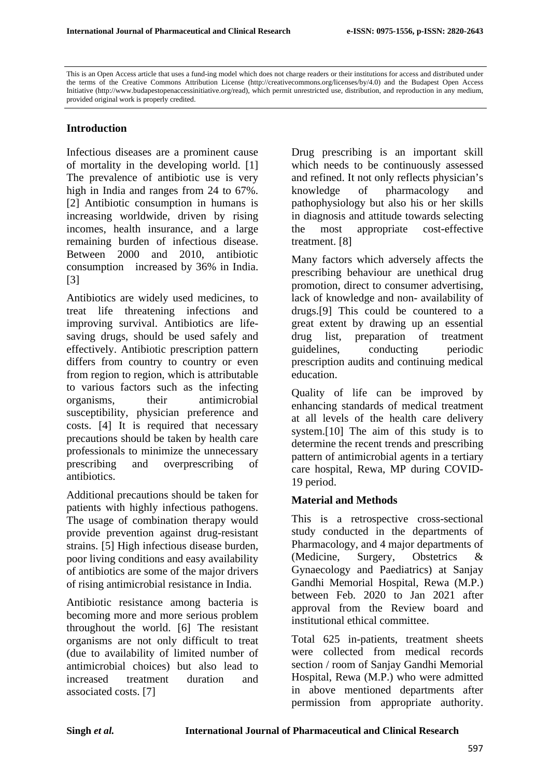This is an Open Access article that uses a fund-ing model which does not charge readers or their institutions for access and distributed under the terms of the Creative Commons Attribution License (http://creativecommons.org/licenses/by/4.0) and the Budapest Open Access Initiative (http://www.budapestopenaccessinitiative.org/read), which permit unrestricted use, distribution, and reproduction in any medium, provided original work is properly credited.

#### **Introduction**

Infectious diseases are a prominent cause of mortality in the developing world. [1] The prevalence of antibiotic use is very high in India and ranges from 24 to 67%. [2] Antibiotic consumption in humans is increasing worldwide, driven by rising incomes, health insurance, and a large remaining burden of infectious disease. Between 2000 and 2010, antibiotic consumption increased by 36% in India. [3]

Antibiotics are widely used medicines, to treat life threatening infections and improving survival. Antibiotics are lifesaving drugs, should be used safely and effectively. Antibiotic prescription pattern differs from country to country or even from region to region, which is attributable to various factors such as the infecting organisms, their antimicrobial susceptibility, physician preference and costs. [4] It is required that necessary precautions should be taken by health care professionals to minimize the unnecessary prescribing and overprescribing of antibiotics.

Additional precautions should be taken for patients with highly infectious pathogens. The usage of combination therapy would provide prevention against drug-resistant strains. [5] High infectious disease burden, poor living conditions and easy availability of antibiotics are some of the major drivers of rising antimicrobial resistance in India.

Antibiotic resistance among bacteria is becoming more and more serious problem throughout the world. [6] The resistant organisms are not only difficult to treat (due to availability of limited number of antimicrobial choices) but also lead to increased treatment duration and associated costs. [7]

Drug prescribing is an important skill which needs to be continuously assessed and refined. It not only reflects physician's knowledge of pharmacology and pathophysiology but also his or her skills in diagnosis and attitude towards selecting the most appropriate cost-effective treatment. [8]

Many factors which adversely affects the prescribing behaviour are unethical drug promotion, direct to consumer advertising, lack of knowledge and non- availability of drugs.[9] This could be countered to a great extent by drawing up an essential drug list, preparation of treatment guidelines, conducting periodic prescription audits and continuing medical education.

Quality of life can be improved by enhancing standards of medical treatment at all levels of the health care delivery system.[10] The aim of this study is to determine the recent trends and prescribing pattern of antimicrobial agents in a tertiary care hospital, Rewa, MP during COVID-19 period.

#### **Material and Methods**

This is a retrospective cross-sectional study conducted in the departments of Pharmacology, and 4 major departments of (Medicine, Surgery, Obstetrics & Gynaecology and Paediatrics) at Sanjay Gandhi Memorial Hospital, Rewa (M.P.) between Feb. 2020 to Jan 2021 after approval from the Review board and institutional ethical committee.

Total 625 in-patients, treatment sheets were collected from medical records section / room of Sanjay Gandhi Memorial Hospital, Rewa (M.P.) who were admitted in above mentioned departments after permission from appropriate authority.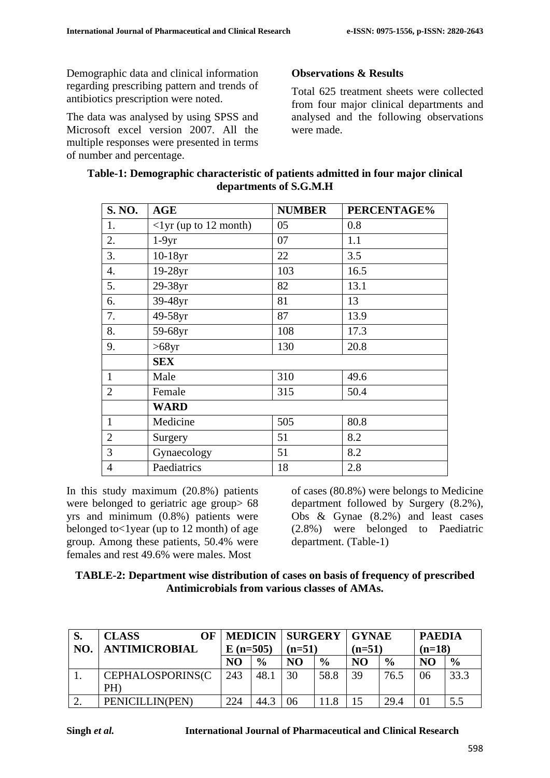Demographic data and clinical information regarding prescribing pattern and trends of antibiotics prescription were noted.

The data was analysed by using SPSS and Microsoft excel version 2007. All the multiple responses were presented in terms of number and percentage.

## **Observations & Results**

Total 625 treatment sheets were collected from four major clinical departments and analysed and the following observations were made.

| <b>S. NO.</b>    | <b>AGE</b>                      | <b>NUMBER</b> | PERCENTAGE% |
|------------------|---------------------------------|---------------|-------------|
| 1.               | $\langle$ 1 yr (up to 12 month) | 05            | 0.8         |
| 2.               | $1-9yr$                         | 07            | 1.1         |
| 3.               | $10-18yr$                       | 22            | 3.5         |
| $\overline{4}$ . | 19-28yr                         | 103           | 16.5        |
| 5.               | 29-38yr                         | 82            | 13.1        |
| 6.               | 39-48yr                         | 81            | 13          |
| 7.               | 49-58yr                         | 87            | 13.9        |
| 8.               | 59-68yr                         | 108           | 17.3        |
| 9.               | $>68$ yr                        | 130           | 20.8        |
|                  | <b>SEX</b>                      |               |             |
| $\mathbf{1}$     | Male                            | 310           | 49.6        |
| $\overline{2}$   | Female                          | 315           | 50.4        |
|                  | <b>WARD</b>                     |               |             |
| $\mathbf{1}$     | Medicine                        | 505           | 80.8        |
| $\overline{2}$   | Surgery                         | 51            | 8.2         |
| 3                | Gynaecology                     | 51            | 8.2         |
| $\overline{4}$   | Paediatrics                     | 18            | 2.8         |

## **Table-1: Demographic characteristic of patients admitted in four major clinical departments of S.G.M.H**

In this study maximum (20.8%) patients were belonged to geriatric age group> 68 yrs and minimum (0.8%) patients were belonged to<1year (up to 12 month) of age group. Among these patients, 50.4% were females and rest 49.6% were males. Most

of cases (80.8%) were belongs to Medicine department followed by Surgery (8.2%), Obs & Gynae (8.2%) and least cases (2.8%) were belonged to Paediatric department. (Table-1)

| <b>TABLE-2: Department wise distribution of cases on basis of frequency of prescribed</b> |
|-------------------------------------------------------------------------------------------|
| Antimicrobials from various classes of AMAs.                                              |

| NO. | <b>CLASS</b><br>OF<br><b>ANTIMICROBIAL</b> | $E(n=505)$     |               | <b>MEDICIN   SURGERY   GYNAE</b><br>$(n=51)$ |               | $(n=51)$       |               | <b>PAEDIA</b><br>$(n=18)$ |               |
|-----|--------------------------------------------|----------------|---------------|----------------------------------------------|---------------|----------------|---------------|---------------------------|---------------|
|     |                                            | N <sub>O</sub> | $\frac{6}{6}$ | N <sub>O</sub>                               | $\frac{0}{0}$ | N <sub>O</sub> | $\frac{6}{9}$ | N <sub>O</sub>            | $\frac{0}{0}$ |
|     | <b>CEPHALOSPORINS(C)</b><br>PH)            | 243            | 48.1          | 30                                           | 58.8          | 39             | 76.5          | 06                        | 33.3          |
|     | PENICILLIN(PEN)                            | 224            | 44.3          | 06                                           |               |                | 29.4          | 0 <sup>1</sup>            | 5.5           |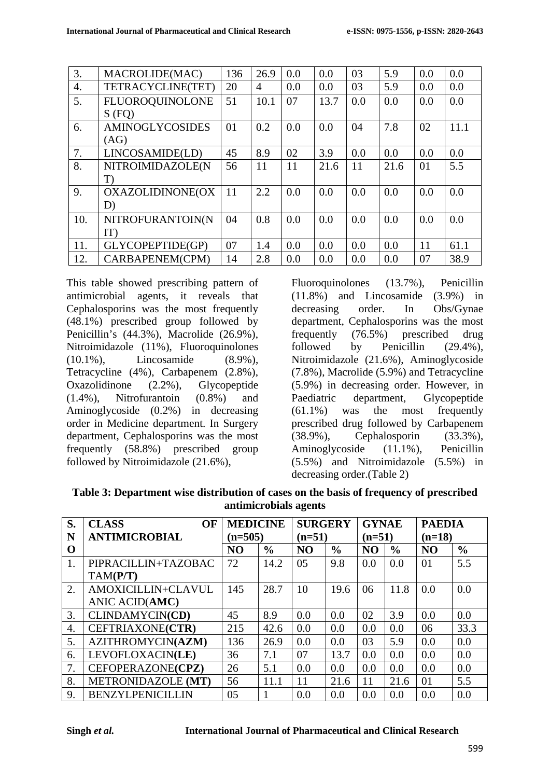| 3.               | MACROLIDE(MAC)         | 136 | 26.9           | 0.0 | 0.0  | 03  | 5.9  | 0.0 | 0.0  |
|------------------|------------------------|-----|----------------|-----|------|-----|------|-----|------|
| $\overline{4}$ . | TETRACYCLINE(TET)      | 20  | $\overline{4}$ | 0.0 | 0.0  | 03  | 5.9  | 0.0 | 0.0  |
| 5.               | <b>FLUOROQUINOLONE</b> | 51  | 10.1           | 07  | 13.7 | 0.0 | 0.0  | 0.0 | 0.0  |
|                  | $S$ (FQ)               |     |                |     |      |     |      |     |      |
| 6.               | <b>AMINOGLYCOSIDES</b> | 01  | 0.2            | 0.0 | 0.0  | 04  | 7.8  | 02  | 11.1 |
|                  | (AG)                   |     |                |     |      |     |      |     |      |
| 7.               | LINCOSAMIDE(LD)        | 45  | 8.9            | 02  | 3.9  | 0.0 | 0.0  | 0.0 | 0.0  |
| 8.               | NITROIMIDAZOLE(N       | 56  | 11             | 11  | 21.6 | 11  | 21.6 | 01  | 5.5  |
|                  | T)                     |     |                |     |      |     |      |     |      |
| 9.               | OXAZOLIDINONE(OX       | 11  | 2.2            | 0.0 | 0.0  | 0.0 | 0.0  | 0.0 | 0.0  |
|                  | D)                     |     |                |     |      |     |      |     |      |
| 10.              | NITROFURANTOIN(N       | 04  | 0.8            | 0.0 | 0.0  | 0.0 | 0.0  | 0.0 | 0.0  |
|                  | IT)                    |     |                |     |      |     |      |     |      |
| 11.              | GLYCOPEPTIDE(GP)       | 07  | 1.4            | 0.0 | 0.0  | 0.0 | 0.0  | 11  | 61.1 |
| 12.              | CARBAPENEM(CPM)        | 14  | 2.8            | 0.0 | 0.0  | 0.0 | 0.0  | 07  | 38.9 |

This table showed prescribing pattern of antimicrobial agents, it reveals that Cephalosporins was the most frequently (48.1%) prescribed group followed by Penicillin's (44.3%), Macrolide (26.9%), Nitroimidazole (11%), Fluoroquinolones (10.1%), Lincosamide (8.9%), Tetracycline (4%), Carbapenem (2.8%), Oxazolidinone (2.2%), Glycopeptide (1.4%), Nitrofurantoin (0.8%) and Aminoglycoside (0.2%) in decreasing order in Medicine department. In Surgery department, Cephalosporins was the most frequently (58.8%) prescribed group followed by Nitroimidazole (21.6%),

Fluoroquinolones (13.7%), Penicillin (11.8%) and Lincosamide (3.9%) in decreasing order. In Obs/Gynae department, Cephalosporins was the most frequently (76.5%) prescribed drug followed by Penicillin (29.4%), Nitroimidazole (21.6%), Aminoglycoside (7.8%), Macrolide (5.9%) and Tetracycline (5.9%) in decreasing order. However, in Paediatric department, Glycopeptide (61.1%) was the most frequently prescribed drug followed by Carbapenem (38.9%), Cephalosporin (33.3%), Aminoglycoside (11.1%), Penicillin (5.5%) and Nitroimidazole (5.5%) in decreasing order.(Table 2)

| S. | <b>CLASS</b><br>OF      | <b>MEDICINE</b> |               | <b>SURGERY</b> |               | <b>GYNAE</b>   |               | <b>PAEDIA</b>  |               |
|----|-------------------------|-----------------|---------------|----------------|---------------|----------------|---------------|----------------|---------------|
| N  | <b>ANTIMICROBIAL</b>    | $(n=505)$       |               | $(n=51)$       |               | $(n=51)$       |               | $(n=18)$       |               |
| O  |                         | N <sub>O</sub>  | $\frac{6}{6}$ | N <sub>O</sub> | $\frac{0}{0}$ | N <sub>O</sub> | $\frac{6}{6}$ | N <sub>O</sub> | $\frac{6}{6}$ |
| 1. | PIPRACILLIN+TAZOBAC     | 72              | 14.2          | 05             | 9.8           | 0.0            | 0.0           | 01             | 5.5           |
|    | TAM(P/T)                |                 |               |                |               |                |               |                |               |
| 2. | AMOXICILLIN+CLAVUL      | 145             | 28.7          | 10             | 19.6          | 06             | 11.8          | 0.0            | 0.0           |
|    | <b>ANIC ACID(AMC)</b>   |                 |               |                |               |                |               |                |               |
| 3. | CLINDAMYCIN(CD)         | 45              | 8.9           | 0.0            | 0.0           | 02             | 3.9           | 0.0            | 0.0           |
| 4. | CEFTRIAXONE(CTR)        | 215             | 42.6          | 0.0            | 0.0           | 0.0            | 0.0           | 06             | 33.3          |
| 5. | AZITHROMYCIN(AZM)       | 136             | 26.9          | 0.0            | 0.0           | 03             | 5.9           | 0.0            | 0.0           |
| 6. | LEVOFLOXACIN(LE)        | 36              | 7.1           | 07             | 13.7          | 0.0            | 0.0           | 0.0            | 0.0           |
| 7. | CEFOPERAZONE(CPZ)       | 26              | 5.1           | 0.0            | 0.0           | 0.0            | 0.0           | 0.0            | 0.0           |
| 8. | METRONIDAZOLE (MT)      | 56              | 11.1          | 11             | 21.6          | 11             | 21.6          | 01             | 5.5           |
| 9. | <b>BENZYLPENICILLIN</b> | 05              |               | 0.0            | 0.0           | 0.0            | 0.0           | 0.0            | 0.0           |

**Table 3: Department wise distribution of cases on the basis of frequency of prescribed antimicrobials agents**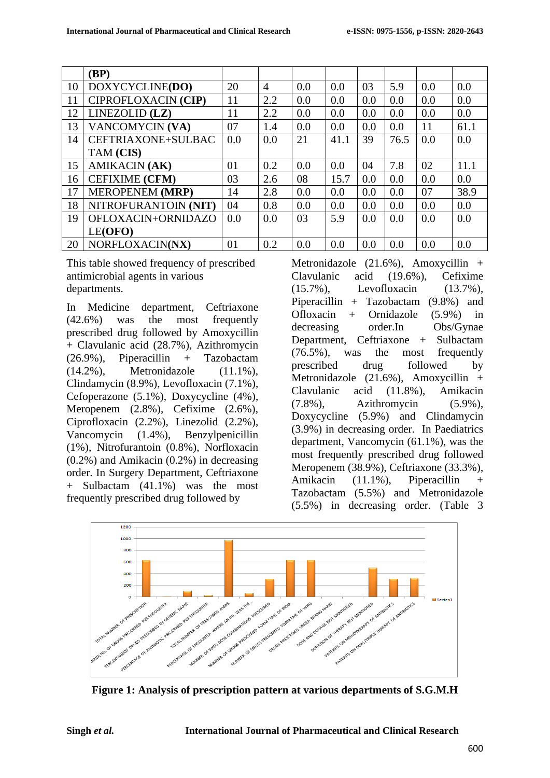|    | (BP)                   |     |                |     |      |     |      |     |      |
|----|------------------------|-----|----------------|-----|------|-----|------|-----|------|
| 10 | DOXYCYCLINE(DO)        | 20  | $\overline{4}$ | 0.0 | 0.0  | 03  | 5.9  | 0.0 | 0.0  |
| 11 | CIPROFLOXACIN (CIP)    | 11  | 2.2            | 0.0 | 0.0  | 0.0 | 0.0  | 0.0 | 0.0  |
| 12 | LINEZOLID (LZ)         | 11  | 2.2            | 0.0 | 0.0  | 0.0 | 0.0  | 0.0 | 0.0  |
| 13 | VANCOMYCIN (VA)        | 07  | 1.4            | 0.0 | 0.0  | 0.0 | 0.0  | 11  | 61.1 |
| 14 | CEFTRIAXONE+SULBAC     | 0.0 | 0.0            | 21  | 41.1 | 39  | 76.5 | 0.0 | 0.0  |
|    | TAM (CIS)              |     |                |     |      |     |      |     |      |
| 15 | <b>AMIKACIN (AK)</b>   | 01  | 0.2            | 0.0 | 0.0  | 04  | 7.8  | 02  | 11.1 |
| 16 | <b>CEFIXIME (CFM)</b>  | 03  | 2.6            | 08  | 15.7 | 0.0 | 0.0  | 0.0 | 0.0  |
| 17 | <b>MEROPENEM (MRP)</b> | 14  | 2.8            | 0.0 | 0.0  | 0.0 | 0.0  | 07  | 38.9 |
| 18 | NITROFURANTOIN (NIT)   | 04  | 0.8            | 0.0 | 0.0  | 0.0 | 0.0  | 0.0 | 0.0  |
| 19 | OFLOXACIN+ORNIDAZO     | 0.0 | 0.0            | 03  | 5.9  | 0.0 | 0.0  | 0.0 | 0.0  |
|    | LE(OFO)                |     |                |     |      |     |      |     |      |
| 20 | NORFLOXACIN(NX)        | 01  | 0.2            | 0.0 | 0.0  | 0.0 | 0.0  | 0.0 | 0.0  |

This table showed frequency of prescribed antimicrobial agents in various departments.

In Medicine department, Ceftriaxone (42.6%) was the most frequently prescribed drug followed by Amoxycillin + Clavulanic acid (28.7%), Azithromycin  $(26.9\%)$ , Piperacillin + Tazobactam (14.2%), Metronidazole (11.1%), Clindamycin (8.9%), Levofloxacin (7.1%), Cefoperazone (5.1%), Doxycycline (4%), Meropenem (2.8%), Cefixime (2.6%), Ciprofloxacin (2.2%), Linezolid (2.2%), Vancomycin (1.4%), Benzylpenicillin (1%), Nitrofurantoin (0.8%), Norfloxacin (0.2%) and Amikacin (0.2%) in decreasing order. In Surgery Department, Ceftriaxone + Sulbactam (41.1%) was the most frequently prescribed drug followed by

Metronidazole (21.6%), Amoxycillin + Clavulanic acid (19.6%), Cefixime (15.7%), Levofloxacin (13.7%), Piperacillin + Tazobactam (9.8%) and Ofloxacin + Ornidazole (5.9%) in decreasing order.In Obs/Gynae Department, Ceftriaxone + Sulbactam (76.5%), was the most frequently prescribed drug followed by Metronidazole  $(21.6\%)$ , Amoxycillin + Clavulanic acid (11.8%), Amikacin (7.8%), Azithromycin (5.9%), Doxycycline (5.9%) and Clindamycin (3.9%) in decreasing order. In Paediatrics department, Vancomycin (61.1%), was the most frequently prescribed drug followed Meropenem (38.9%), Ceftriaxone (33.3%), Amikacin (11.1%), Piperacillin + Tazobactam (5.5%) and Metronidazole (5.5%) in decreasing order. (Table 3



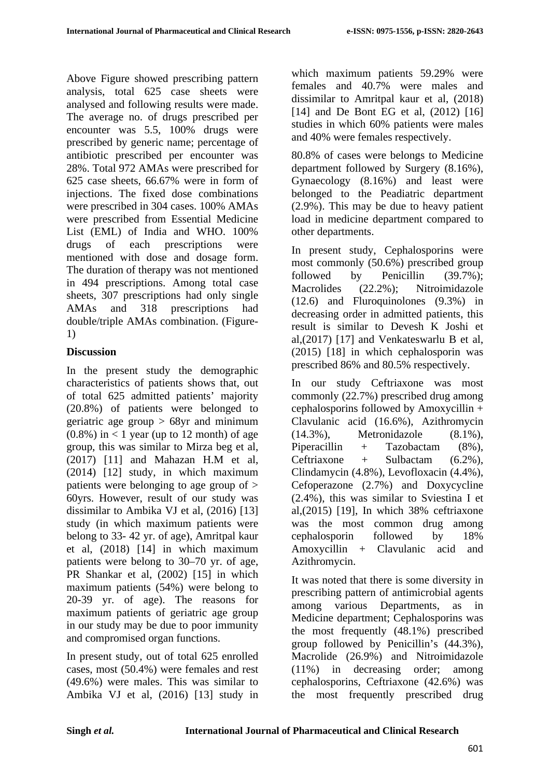Above Figure showed prescribing pattern analysis, total 625 case sheets were analysed and following results were made. The average no. of drugs prescribed per encounter was 5.5, 100% drugs were prescribed by generic name; percentage of antibiotic prescribed per encounter was 28%. Total 972 AMAs were prescribed for 625 case sheets, 66.67% were in form of injections. The fixed dose combinations were prescribed in 304 cases. 100% AMAs were prescribed from Essential Medicine List (EML) of India and WHO. 100% drugs of each prescriptions were mentioned with dose and dosage form. The duration of therapy was not mentioned in 494 prescriptions. Among total case sheets, 307 prescriptions had only single AMAs and 318 prescriptions had double/triple AMAs combination. (Figure-1)

## **Discussion**

In the present study the demographic characteristics of patients shows that, out of total 625 admitted patients' majority (20.8%) of patients were belonged to geriatric age group  $> 68$ yr and minimum  $(0.8\%)$  in  $\lt 1$  year (up to 12 month) of age group, this was similar to Mirza beg et al, (2017) [11] and Mahazan H.M et al, (2014) [12] study, in which maximum patients were belonging to age group of > 60yrs. However, result of our study was dissimilar to Ambika VJ et al, (2016) [13] study (in which maximum patients were belong to 33- 42 yr. of age), Amritpal kaur et al, (2018) [14] in which maximum patients were belong to 30–70 yr. of age, PR Shankar et al, (2002) [15] in which maximum patients (54%) were belong to 20-39 yr. of age). The reasons for maximum patients of geriatric age group in our study may be due to poor immunity and compromised organ functions.

In present study, out of total 625 enrolled cases, most (50.4%) were females and rest (49.6%) were males. This was similar to Ambika VJ et al, (2016) [13] study in

which maximum patients 59.29% were females and 40.7% were males and dissimilar to Amritpal kaur et al, (2018) [14] and De Bont EG et al,  $(2012)$  [16] studies in which 60% patients were males and 40% were females respectively.

80.8% of cases were belongs to Medicine department followed by Surgery (8.16%), Gynaecology (8.16%) and least were belonged to the Peadiatric department (2.9%). This may be due to heavy patient load in medicine department compared to other departments.

In present study, Cephalosporins were most commonly (50.6%) prescribed group followed by Penicillin (39.7%); Macrolides (22.2%); Nitroimidazole (12.6) and Fluroquinolones (9.3%) in decreasing order in admitted patients, this result is similar to Devesh K Joshi et al,(2017) [17] and Venkateswarlu B et al, (2015) [18] in which cephalosporin was prescribed 86% and 80.5% respectively.

In our study Ceftriaxone was most commonly (22.7%) prescribed drug among cephalosporins followed by Amoxycillin + Clavulanic acid (16.6%), Azithromycin (14.3%), Metronidazole (8.1%), Piperacillin  $+$  Tazobactam  $(8\%)$ , Ceftriaxone + Sulbactam (6.2%), Clindamycin (4.8%), Levofloxacin (4.4%), Cefoperazone (2.7%) and Doxycycline (2.4%), this was similar to Sviestina I et al,(2015) [19], In which 38% ceftriaxone was the most common drug among cephalosporin followed by 18% Amoxycillin + Clavulanic acid and Azithromycin.

It was noted that there is some diversity in prescribing pattern of antimicrobial agents among various Departments, as in Medicine department; Cephalosporins was the most frequently (48.1%) prescribed group followed by Penicillin's (44.3%), Macrolide (26.9%) and Nitroimidazole (11%) in decreasing order; among cephalosporins, Ceftriaxone (42.6%) was the most frequently prescribed drug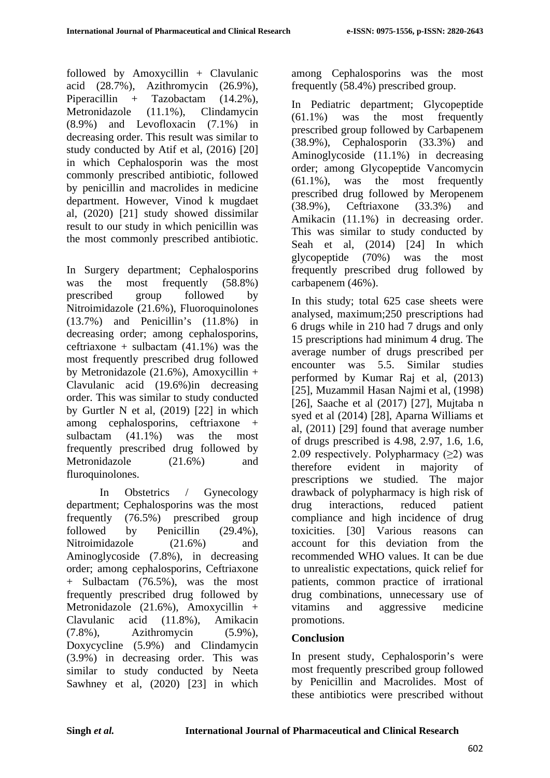followed by Amoxycillin  $+$  Clavulanic acid (28.7%), Azithromycin (26.9%), Piperacillin + Tazobactam (14.2%), Metronidazole (11.1%), Clindamycin (8.9%) and Levofloxacin (7.1%) in decreasing order. This result was similar to study conducted by Atif et al, (2016) [20] in which Cephalosporin was the most commonly prescribed antibiotic, followed by penicillin and macrolides in medicine department. However, Vinod k mugdaet al, (2020) [21] study showed dissimilar result to our study in which penicillin was the most commonly prescribed antibiotic.

In Surgery department; Cephalosporins was the most frequently (58.8%) prescribed group followed by Nitroimidazole (21.6%), Fluoroquinolones (13.7%) and Penicillin's (11.8%) in decreasing order; among cephalosporins, ceftriaxone + sulbactam  $(41.1\%)$  was the most frequently prescribed drug followed by Metronidazole (21.6%), Amoxycillin + Clavulanic acid (19.6%)in decreasing order. This was similar to study conducted by Gurtler N et al, (2019) [22] in which among cephalosporins, ceftriaxone + sulbactam (41.1%) was the most frequently prescribed drug followed by Metronidazole (21.6%) and fluroquinolones.

In Obstetrics / Gynecology department; Cephalosporins was the most frequently (76.5%) prescribed group followed by Penicillin (29.4%), Nitroimidazole  $(21.6\%)$  and Aminoglycoside (7.8%), in decreasing order; among cephalosporins, Ceftriaxone + Sulbactam (76.5%), was the most frequently prescribed drug followed by Metronidazole (21.6%), Amoxycillin + Clavulanic acid (11.8%), Amikacin (7.8%), Azithromycin (5.9%), Doxycycline (5.9%) and Clindamycin (3.9%) in decreasing order. This was similar to study conducted by Neeta Sawhney et al,  $(2020)$  [23] in which among Cephalosporins was the most frequently (58.4%) prescribed group.

In Pediatric department; Glycopeptide (61.1%) was the most frequently prescribed group followed by Carbapenem (38.9%), Cephalosporin (33.3%) and Aminoglycoside (11.1%) in decreasing order; among Glycopeptide Vancomycin (61.1%), was the most frequently prescribed drug followed by Meropenem (38.9%), Ceftriaxone (33.3%) and Amikacin (11.1%) in decreasing order. This was similar to study conducted by Seah et al, (2014) [24] In which glycopeptide (70%) was the most frequently prescribed drug followed by carbapenem (46%).

In this study; total 625 case sheets were analysed, maximum;250 prescriptions had 6 drugs while in 210 had 7 drugs and only 15 prescriptions had minimum 4 drug. The average number of drugs prescribed per encounter was 5.5. Similar studies performed by Kumar Raj et al, (2013) [25], Muzammil Hasan Najmi et al, (1998) [26], Saache et al (2017) [27], Mujtaba n syed et al (2014) [28], Aparna Williams et al, (2011) [29] found that average number of drugs prescribed is 4.98, 2.97, 1.6, 1.6, 2.09 respectively. Polypharmacy  $(\geq 2)$  was therefore evident in majority of prescriptions we studied. The major drawback of polypharmacy is high risk of drug interactions, reduced patient compliance and high incidence of drug toxicities. [30] Various reasons can account for this deviation from the recommended WHO values. It can be due to unrealistic expectations, quick relief for patients, common practice of irrational drug combinations, unnecessary use of vitamins and aggressive medicine promotions.

## **Conclusion**

In present study, Cephalosporin's were most frequently prescribed group followed by Penicillin and Macrolides. Most of these antibiotics were prescribed without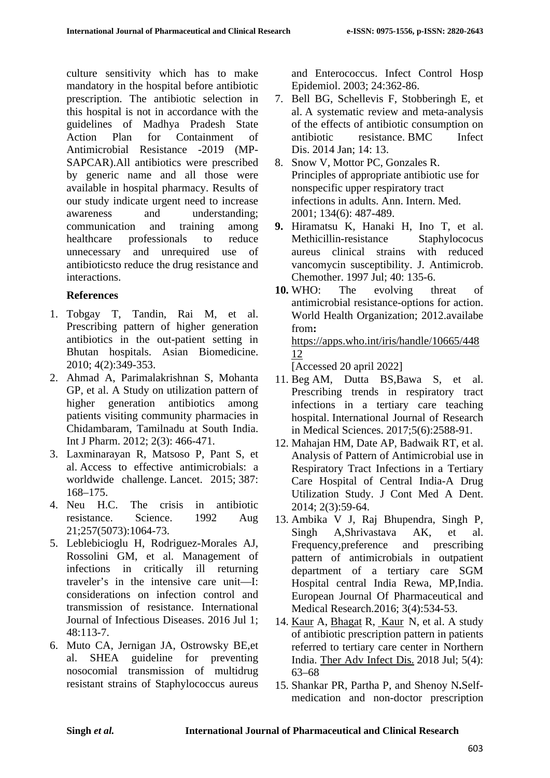culture sensitivity which has to make mandatory in the hospital before antibiotic prescription. The antibiotic selection in this hospital is not in accordance with the guidelines of Madhya Pradesh State Action Plan for Containment of Antimicrobial Resistance -2019 (MP-SAPCAR).All antibiotics were prescribed by generic name and all those were available in hospital pharmacy. Results of our study indicate urgent need to increase awareness and understanding; communication and training among healthcare professionals to reduce unnecessary and unrequired use of antibioticsto reduce the drug resistance and interactions.

### **References**

- 1. Tobgay T, Tandin, Rai M, et al. Prescribing pattern of higher generation antibiotics in the out-patient setting in Bhutan hospitals. Asian Biomedicine. 2010; 4(2):349-353.
- 2. Ahmad A, Parimalakrishnan S, Mohanta GP, et al. A Study on utilization pattern of higher generation antibiotics among patients visiting community pharmacies in Chidambaram, Tamilnadu at South India. Int J Pharm. 2012; 2(3): 466-471.
- 3. Laxminarayan R, Matsoso P, Pant S, et al. Access to effective antimicrobials: a worldwide challenge. Lancet. 2015; 387: 168–175.
- 4. Neu H.C. The crisis in antibiotic resistance. Science. 1992 Aug 21;257(5073):1064-73.
- 5. Leblebicioglu H, Rodriguez-Morales AJ, Rossolini GM, et al. Management of infections in critically ill returning traveler's in the intensive care unit—I: considerations on infection control and transmission of resistance. International Journal of Infectious Diseases. 2016 Jul 1; 48:113-7.
- 6. Muto CA, Jernigan JA, Ostrowsky BE,et al. SHEA guideline for preventing nosocomial transmission of multidrug resistant strains of Staphylococcus aureus

and Enterococcus. Infect Control Hosp Epidemiol. 2003; 24:362-86.

- 7. Bell BG, Schellevis F, Stobberingh E, et al. A systematic review and meta-analysis of the effects of antibiotic consumption on antibiotic resistance. BMC Infect Dis. 2014 Jan; 14: 13.
- 8. Snow V, Mottor PC, Gonzales R. Principles of appropriate antibiotic use for nonspecific upper respiratory tract infections in adults. Ann. Intern. Med. 2001; 134(6): 487-489.
- **9.** Hiramatsu K, Hanaki H, Ino T, et al. Methicillin-resistance Staphylococus aureus clinical strains with reduced vancomycin susceptibility. J. Antimicrob. Chemother. 1997 Jul; 40: 135-6.
- **10.** WHO: The evolving threat of antimicrobial resistance-options for action. World Health Organization; 2012.availabe from**:**

[https://apps.who.int/iris/handle/10665/448](https://apps.who.int/iris/handle/10665/44812) [12](https://apps.who.int/iris/handle/10665/44812)

[Accessed 20 april 2022]

- 11. Beg AM, Dutta BS,Bawa S, et al. Prescribing trends in respiratory tract infections in a tertiary care teaching hospital. International Journal of Research in Medical Sciences. 2017;5(6):2588-91.
- 12. Mahajan HM, Date AP, Badwaik RT, et al. Analysis of Pattern of Antimicrobial use in Respiratory Tract Infections in a Tertiary Care Hospital of Central India-A Drug Utilization Study. J Cont Med A Dent. 2014; 2(3):59-64.
- 13. Ambika V J, Raj Bhupendra, Singh P, Singh A,Shrivastava AK, et al. Frequency,preference and prescribing pattern of antimicrobials in outpatient department of a tertiary care SGM Hospital central India Rewa, MP,India. European Journal Of Pharmaceutical and Medical Research.2016; 3(4):534-53.
- 14. [Kaur](https://pubmed.ncbi.nlm.nih.gov/?term=Kaur+A&cauthor_id=30013773) A, [Bhagat](https://pubmed.ncbi.nlm.nih.gov/?term=Bhagat+R&cauthor_id=30013773) R, [Kaur](https://pubmed.ncbi.nlm.nih.gov/?term=Kaur+N&cauthor_id=30013773) N, et al. A study of antibiotic prescription pattern in patients referred to tertiary care center in Northern India. [Ther Adv Infect Dis.](https://www.ncbi.nlm.nih.gov/pmc/articles/PMC6044109/) 2018 Jul; 5(4): 63–68
- 15. Shankar PR, Partha P, and Shenoy N**.**Selfmedication and non-doctor prescription